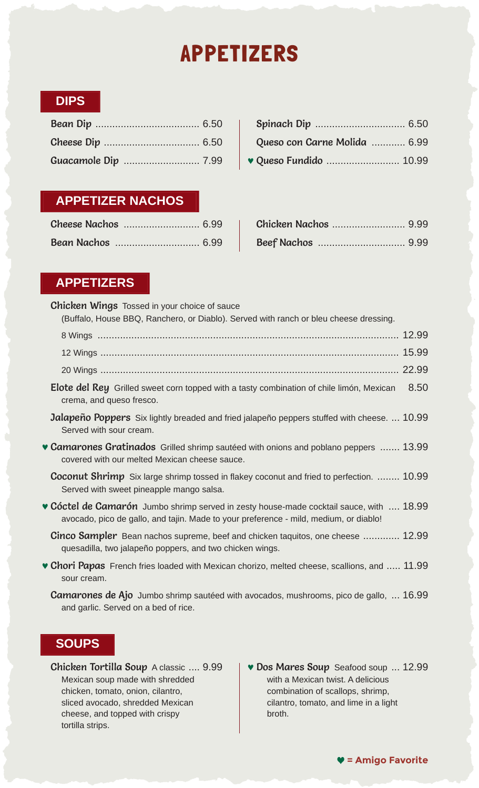# APPETIZERS

## **DIPS**

| Queso con Carne Molida  6.99 |
|------------------------------|
|                              |

| Bean Dip ………………………………… 6.50    <b>Spinach Dip</b> …………………………… 6.50 |
|--------------------------------------------------------------------|
| Queso con Carne Molida  6.99                                       |
| Guacamole Dip ……………………… 7.99   v Queso Fundido …………………… 10.99      |

## **APPETIZER NACHOS**

| Cheese Nachos  6.99 |  |
|---------------------|--|
| Bean Nachos  6.99   |  |

## **APPETIZERS**

**Chicken Wings** Tossed in your choice of sauce (Buffalo, House BBQ, Ranchero, or Diablo). Served with ranch or bleu cheese dressing.

| panaro, riodoo DDQ, riamonoro, or Diabio). Oorvoa with ranon or bioa onooco aroochigi                                                                                                   |
|-----------------------------------------------------------------------------------------------------------------------------------------------------------------------------------------|
|                                                                                                                                                                                         |
|                                                                                                                                                                                         |
|                                                                                                                                                                                         |
| 8.50<br><b>Elote del Rey</b> Grilled sweet corn topped with a tasty combination of chile limón, Mexican<br>crema, and queso fresco.                                                     |
| <b>Jalapeño Poppers</b> Six lightly breaded and fried jalapeño peppers stuffed with cheese.  10.99<br>Served with sour cream.                                                           |
| <b>Camarones Gratinados</b> Grilled shrimp sautéed with onions and poblano peppers  13.99<br>covered with our melted Mexican cheese sauce.                                              |
| <b>Coconut Shrimp</b> Six large shrimp tossed in flakey coconut and fried to perfection.  10.99<br>Served with sweet pineapple mango salsa.                                             |
| <b>• Cóctel de Camarón</b> Jumbo shrimp served in zesty house-made cocktail sauce, with  18.99<br>avocado, pico de gallo, and tajin. Made to your preference - mild, medium, or diablo! |
| <b>Cinco Sampler</b> Bean nachos supreme, beef and chicken taquitos, one cheese  12.99<br>quesadilla, two jalapeño poppers, and two chicken wings.                                      |
| • Chori Papas French fries loaded with Mexican chorizo, melted cheese, scallions, and  11.99<br>sour cream.                                                                             |

Camarones de Ajo Jumbo shrimp sautéed with avocados, mushrooms, pico de gallo, ... 16.99 and garlic. Served on a bed of rice.

## **SOUPS**

Chicken Tortilla Soup A classic .... 9.99 Mexican soup made with shredded chicken, tomato, onion, cilantro, sliced avocado, shredded Mexican cheese, and topped with crispy tortilla strips.

**v Dos Mares Soup** Seafood soup ... 12.99 with a Mexican twist. A delicious combination of scallops, shrimp, cilantro, tomato, and lime in a light broth.

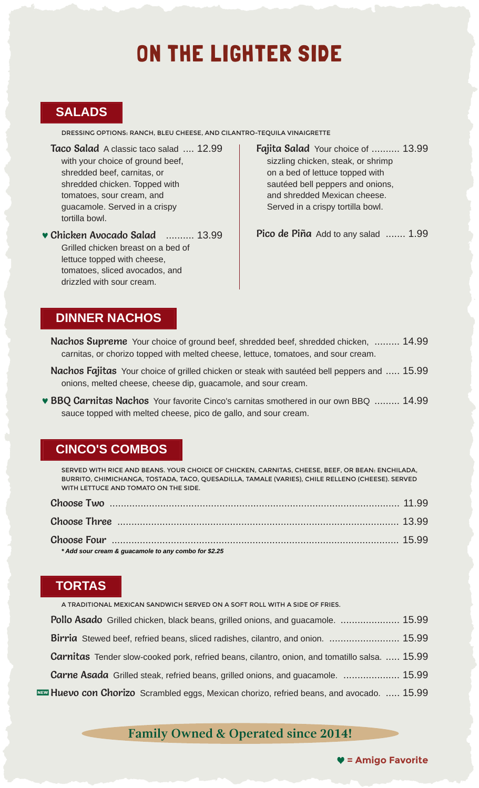## ON THE LIGHTER SIDE

## **SALADS**

DRESSING OPTIONS: RANCH, BLEU CHEESE, AND CILANTRO-TEQUILA VINAIGRETTE

Taco Salad A classic taco salad .... 12.99 with your choice of ground beef, shredded beef, carnitas, or shredded chicken. Topped with tomatoes, sour cream, and guacamole. Served in a crispy tortilla bowl.

0 Chicken Avocado Salad .......... 13.99 Grilled chicken breast on a bed of lettuce topped with cheese, tomatoes, sliced avocados, and drizzled with sour cream.

Fajita Salad Your choice of .......... 13.99 sizzling chicken, steak, or shrimp on a bed of lettuce topped with sautéed bell peppers and onions, and shredded Mexican cheese. Served in a crispy tortilla bowl.

Pico de Piña Add to any salad ....... 1.99

#### **DINNER NACHOS**

- Nachos Supreme Your choice of ground beef, shredded beef, shredded chicken, ......... 14.99 carnitas, or chorizo topped with melted cheese, lettuce, tomatoes, and sour cream.
- Nachos Fajitas Your choice of grilled chicken or steak with sautéed bell peppers and ..... 15.99 onions, melted cheese, cheese dip, guacamole, and sour cream.
- **BBQ Carnitas Nachos** Your favorite Cinco's carnitas smothered in our own BBQ ......... 14.99 sauce topped with melted cheese, pico de gallo, and sour cream.

#### **CINCO'S COMBOS**

SERVED WITH RICE AND BEANS. YOUR CHOICE OF CHICKEN, CARNITAS, CHEESE, BEEF, OR BEAN: ENCHILADA, BURRITO, CHIMICHANGA, TOSTADA, TACO, QUESADILLA, TAMALE (VARIES), CHILE RELLENO (CHEESE). SERVED WITH LETTUCE AND TOMATO ON THE SIDE.

| * Add sour cream & quacamole to any combo for \$2.25 |  |
|------------------------------------------------------|--|

## **TORTAS**

| A TRADITIONAL MEXICAN SANDWICH SERVED ON A SOFT ROLL WITH A SIDE OF FRIES.                           |
|------------------------------------------------------------------------------------------------------|
| <b>Pollo Asado</b> Grilled chicken, black beans, grilled onions, and guacamole.  15.99               |
| <b>Birria</b> Stewed beef, refried beans, sliced radishes, cilantro, and onion.  15.99               |
| <b>Carnitas</b> Tender slow-cooked pork, refried beans, cilantro, onion, and tomatillo salsa.  15.99 |
| <b>Carne Asada</b> Grilled steak, refried beans, grilled onions, and guacamole.  15.99               |
| <b>NEW Huevo con Chorizo</b> Scrambled eggs, Mexican chorizo, refried beans, and avocado.  15.99     |

## **Family Owned & Operated since 2014!**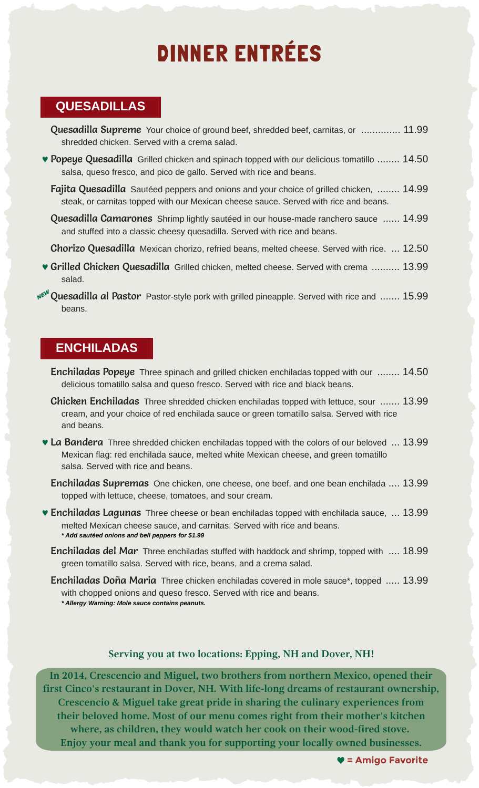# DINNER ENTRÉES

#### **QUESADILLAS**

- **Quesadilla Supreme** Your choice of ground beef, shredded beef, carnitas, or .............. 11.99 shredded chicken. Served with a crema salad.
- **Popeye Quesadilla** Grilled chicken and spinach topped with our delicious tomatillo ........ 14.50 salsa, queso fresco, and pico de gallo. Served with rice and beans.
	- Fajita Quesadilla Sautéed peppers and onions and your choice of grilled chicken, ........ 14.99 steak, or carnitas topped with our Mexican cheese sauce. Served with rice and beans.
	- **Quesadilla Camarones** Shrimp lightly sautéed in our house-made ranchero sauce ...... 14.99 and stuffed into a classic cheesy quesadilla. Served with rice and beans.
	- Chorizo Quesadilla Mexican chorizo, refried beans, melted cheese. Served with rice. ... 12.50
- **v Grilled Chicken Quesadilla** Grilled chicken, melted cheese. Served with crema .......... 13.99 salad.
- NE<sup>W</sup> Quesadilla al Pastor Pastor-style pork with grilled pineapple. Served with rice and ....... 15.99 beans.

## **ENCHILADAS**

- **Enchiladas Popeye** Three spinach and grilled chicken enchiladas topped with our ........ 14.50 delicious tomatillo salsa and queso fresco. Served with rice and black beans.
- Chicken Enchiladas Three shredded chicken enchiladas topped with lettuce, sour ....... 13.99 cream, and your choice of red enchilada sauce or green tomatillo salsa. Served with rice and beans.
- La Bandera Three shredded chicken enchiladas topped with the colors of our beloved ... 13.99 Mexican flag: red enchilada sauce, melted white Mexican cheese, and green tomatillo salsa. Served with rice and beans.
	- Enchiladas Supremas One chicken, one cheese, one beef, and one bean enchilada .... 13.99 topped with lettuce, cheese, tomatoes, and sour cream.
- **Enchiladas Lagunas** Three cheese or bean enchiladas topped with enchilada sauce, ... 13.99 melted Mexican cheese sauce, and carnitas. Served with rice and beans. *\* Add sautéed onions and bell peppers for \$1.99*
	- **Enchiladas del Mar** Three enchiladas stuffed with haddock and shrimp, topped with .... 18.99 green tomatillo salsa. Served with rice, beans, and a crema salad.
	- **Enchiladas Doña Maria** Three chicken enchiladas covered in mole sauce\*, topped ..... 13.99 with chopped onions and queso fresco. Served with rice and beans. *\* Allergy Warning: Mole sauce contains peanuts.*

#### **Serving you at two locations: Epping, NH and Dover, NH!**

**In 2014, Crescencio and Miguel, two brothers from northern Mexico, opened their first Cinco's restaurant in Dover, NH. With life-long dreams of restaurant ownership, Crescencio & Miguel take great pride in sharing the culinary experiences from their beloved home. Most of our menu comes right from their mother's kitchen where, as children, they would watch her cook on their wood-fired stove. Enjoy your meal and thank you for supporting your locally owned businesses.**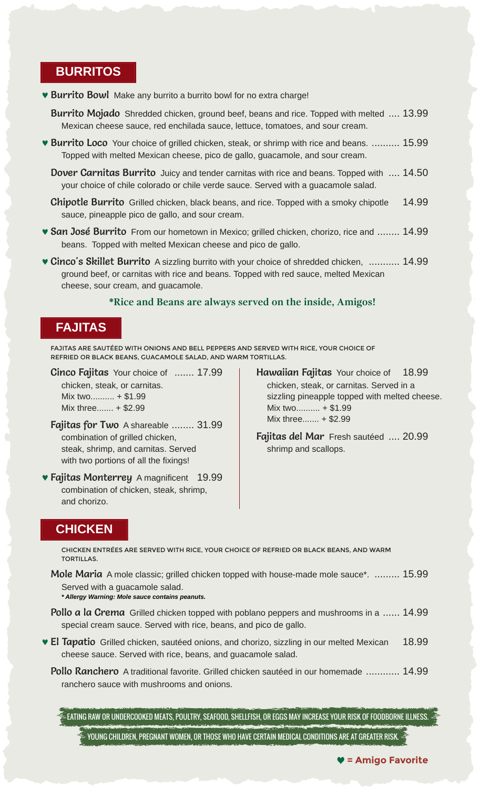#### **BURRITOS**

**• Burrito Bowl** Make any burrito a burrito bowl for no extra charge!

**Burrito Mojado** Shredded chicken, ground beef, beans and rice. Topped with melted .... 13.99 Mexican cheese sauce, red enchilada sauce, lettuce, tomatoes, and sour cream.

**• Burrito Loco** Your choice of grilled chicken, steak, or shrimp with rice and beans. .......... 15.99 Topped with melted Mexican cheese, pico de gallo, guacamole, and sour cream.

**Dover Carnitas Burrito** Juicy and tender carnitas with rice and beans. Topped with .... 14.50 your choice of chile colorado or chile verde sauce. Served with a guacamole salad.

**Chipotle Burrito** Grilled chicken, black beans, and rice. Topped with a smoky chipotle 14.99 sauce, pineapple pico de gallo, and sour cream.

- **San José Burrito** From our hometown in Mexico; grilled chicken, chorizo, rice and ........ 14.99 beans. Topped with melted Mexican cheese and pico de gallo.
- **Cinco's Skillet Burrito** A sizzling burrito with your choice of shredded chicken, ........... 14.99 ground beef, or carnitas with rice and beans. Topped with red sauce, melted Mexican cheese, sour cream, and guacamole.

#### **\*Rice and Beans are always served on the inside, Amigos!**

#### **FAJITAS**

FAJITAS ARE SAUTÉED WITH ONIONS AND BELL PEPPERS AND SERVED WITH RICE, YOUR CHOICE OF REFRIED OR BLACK BEANS, GUACAMOLE SALAD, AND WARM TORTILLAS.

**Cinco Fajitas** Your choice of ....... 17.99 chicken, steak, or carnitas. Mix two.......... + \$1.99

Mix three....... + \$2.99

- combination of grilled chicken, steak, shrimp, and carnitas. Served with two portions of all the fixings!
- **Fajitas Monterrey** A magnificent 19.99 combination of chicken, steak, shrimp, and chorizo.
- Hawaiian Fajitas Your choice of 18.99 chicken, steak, or carnitas. Served in a sizzling pineapple topped with melted cheese. Mix two.......... + \$1.99 Fajitas for Two A shareable ........  $31.99$  Mix three....... + \$2.99

Fajitas del Mar Fresh sautéed .... 20.99 shrimp and scallops.

#### **CHICKEN**

CHICKEN ENTRÉES ARE SERVED WITH RICE, YOUR CHOICE OF REFRIED OR BLACK BEANS, AND WARM TORTILLAS.

**Mole Maria** A mole classic; grilled chicken topped with house-made mole sauce\*. ......... 15.99 Served with a guacamole salad.

*\* Allergy Warning: Mole sauce contains peanuts.*

- Pollo a la Crema Grilled chicken topped with poblano peppers and mushrooms in a ...... 14.99 special cream sauce. Served with rice, beans, and pico de gallo.
- El Tapatio Grilled chicken, sautéed onions, and chorizo, sizzling in our melted Mexican 18.99 cheese sauce. Served with rice, beans, and guacamole salad.
	- Pollo Ranchero A traditional favorite. Grilled chicken sautéed in our homemade ............ 14.99 ranchero sauce with mushrooms and onions.

EATING RAW OR UNDERCOOKED MEATS, POULTRY, SEAFOOD, SHELLFISH, OR EGGS MAY INCREASE YOUR RISK OF FOODBORNE ILLNESS.

YOUNG CHILDREN, PREGNANT WOMEN, OR THOSE WHO HAVE CERTAIN MEDICAL CONDITIONS ARE AT GREATER RISK.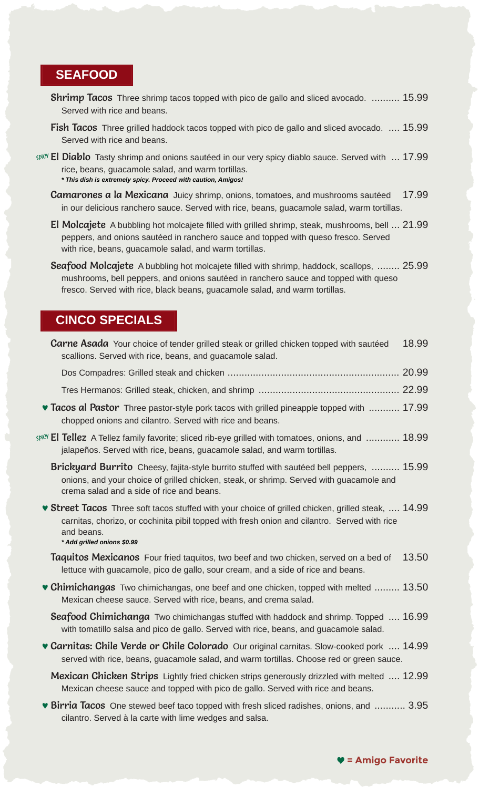#### **SEAFOOD**

- **Shrimp Tacos** Three shrimp tacos topped with pico de gallo and sliced avocado. .......... 15.99 Served with rice and beans.
- **Fish Tacos** Three grilled haddock tacos topped with pico de gallo and sliced avocado. .... 15.99 Served with rice and beans.
- $SplCV$  **El Diablo** Tasty shrimp and onions sautéed in our very spicy diablo sauce. Served with  $\ldots$  17.99 rice, beans, guacamole salad, and warm tortillas. *\* This dish is extremely spicy. Proceed with caution, Amigos!*
	- **Camarones a la Mexicana** Juicy shrimp, onions, tomatoes, and mushrooms sautéed 17.99 in our delicious ranchero sauce. Served with rice, beans, guacamole salad, warm tortillas.
	- El Molcajete A bubbling hot molcajete filled with grilled shrimp, steak, mushrooms, bell ... 21.99 peppers, and onions sautéed in ranchero sauce and topped with queso fresco. Served with rice, beans, guacamole salad, and warm tortillas.
	- Seafood Molcajete A bubbling hot molcajete filled with shrimp, haddock, scallops, ........ 25.99 mushrooms, bell peppers, and onions sautéed in ranchero sauce and topped with queso fresco. Served with rice, black beans, guacamole salad, and warm tortillas.

#### **CINCO SPECIALS**

| <b>Carne Asada</b> Your choice of tender grilled steak or grilled chicken topped with sautéed<br>scallions. Served with rice, beans, and guacamole salad.                                                                                              | 18.99 |
|--------------------------------------------------------------------------------------------------------------------------------------------------------------------------------------------------------------------------------------------------------|-------|
|                                                                                                                                                                                                                                                        |       |
|                                                                                                                                                                                                                                                        |       |
| <b>v Tacos al Pastor</b> Three pastor-style pork tacos with grilled pineapple topped with  17.99<br>chopped onions and cilantro. Served with rice and beans.                                                                                           |       |
| $\mathbb{R}^{100}$ <b>El Tellez</b> A Tellez family favorite; sliced rib-eye grilled with tomatoes, onions, and  18.99<br>jalapeños. Served with rice, beans, guacamole salad, and warm tortillas.                                                     |       |
| <b>Brickyard Burrito</b> Cheesy, fajita-style burrito stuffed with sautéed bell peppers,  15.99<br>onions, and your choice of grilled chicken, steak, or shrimp. Served with guacamole and<br>crema salad and a side of rice and beans.                |       |
| <b>▼ Street Tacos</b> Three soft tacos stuffed with your choice of grilled chicken, grilled steak,  14.99<br>carnitas, chorizo, or cochinita pibil topped with fresh onion and cilantro. Served with rice<br>and beans.<br>* Add grilled onions \$0.99 |       |
| Taquitos Mexicanos Four fried taquitos, two beef and two chicken, served on a bed of<br>lettuce with guacamole, pico de gallo, sour cream, and a side of rice and beans.                                                                               | 13.50 |
| • Chimichangas Two chimichangas, one beef and one chicken, topped with melted  13.50<br>Mexican cheese sauce. Served with rice, beans, and crema salad.                                                                                                |       |
| <b>Seafood Chimichanga</b> Two chimichangas stuffed with haddock and shrimp. Topped  16.99<br>with tomatillo salsa and pico de gallo. Served with rice, beans, and guacamole salad.                                                                    |       |
| <b>v Carnitas: Chile Verde or Chile Colorado</b> Our original carnitas. Slow-cooked pork  14.99<br>served with rice, beans, guacamole salad, and warm tortillas. Choose red or green sauce.                                                            |       |
| <b>Mexican Chicken Strips</b> Lightly fried chicken strips generously drizzled with melted  12.99<br>Mexican cheese sauce and topped with pico de gallo. Served with rice and beans.                                                                   |       |
| • Birria Tacos One stewed beef taco topped with fresh sliced radishes, onions, and  3.95<br>cilantro. Served à la carte with lime wedges and salsa.                                                                                                    |       |
|                                                                                                                                                                                                                                                        |       |

Ÿ **= Amigo Favorite**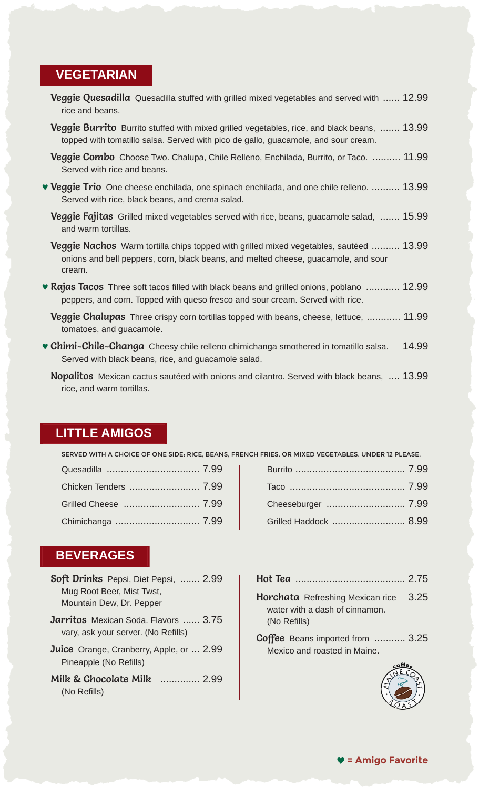#### **VEGETARIAN**

- **Veggie Quesadilla** Quesadilla stuffed with grilled mixed vegetables and served with ...... 12.99 rice and beans.
- Veggie Burrito Burrito stuffed with mixed grilled vegetables, rice, and black beans, ....... 13.99 topped with tomatillo salsa. Served with pico de gallo, guacamole, and sour cream.
- **Veggie Combo** Choose Two. Chalupa, Chile Relleno, Enchilada, Burrito, or Taco. .......... 11.99 Served with rice and beans.
- **Veggie Trio** One cheese enchilada, one spinach enchilada, and one chile relleno. .......... 13.99 Served with rice, black beans, and crema salad.
	- **Veggie Fajitas** Grilled mixed vegetables served with rice, beans, guacamole salad, ....... 15.99 and warm tortillas.
	- **Veggie Nachos** Warm tortilla chips topped with grilled mixed vegetables, sautéed .......... 13.99 onions and bell peppers, corn, black beans, and melted cheese, guacamole, and sour cream.
- **Rajas Tacos** Three soft tacos filled with black beans and grilled onions, poblano ............ 12.99 peppers, and corn. Topped with queso fresco and sour cream. Served with rice.
	- **Veggie Chalupas** Three crispy corn tortillas topped with beans, cheese, lettuce, ............ 11.99 tomatoes, and guacamole.
- **Chimi-Chile-Changa** Cheesy chile relleno chimichanga smothered in tomatillo salsa. 14.99 Served with black beans, rice, and guacamole salad.
	- Nopalitos Mexican cactus sautéed with onions and cilantro. Served with black beans, .... 13.99 rice, and warm tortillas.

#### **LITTLE AMIGOS**

SERVED WITH A CHOICE OF ONE SIDE: RICE, BEANS, FRENCH FRIES, OR MIXED VEGETABLES. UNDER 12 PLEASE.

Quesadilla ................................. 7.99 Burrito ....................................... 7.99 Chicken Tenders ......................... 7.99 Taco ......................................... 7.99 Grilled Cheese ........................... 7.99 Cheeseburger ............................ 7.99 Grilled Haddock .................................. 8.99

### **BEVERAGES**

| Soft Drinks Pepsi, Diet Pepsi,  2.99        |
|---------------------------------------------|
| Mug Root Beer, Mist Twst,                   |
| Mountain Dew, Dr. Pepper                    |
| <b>Jarritos</b> Mexican Soda. Flavors  3.75 |
| vary, ask your server. (No Refills)         |

- Juice Orange, Cranberry, Apple, or ... 2.99 Pineapple (No Refills)
- Milk & Chocolate Milk .............. 2.99 (No Refills)

| <b>Horchata</b> Refreshing Mexican rice 3.25<br>water with a dash of cinnamon. |  |
|--------------------------------------------------------------------------------|--|
| (No Refills)                                                                   |  |

Coffee Beans imported from ........... 3.25 Mexico and roasted in Maine.